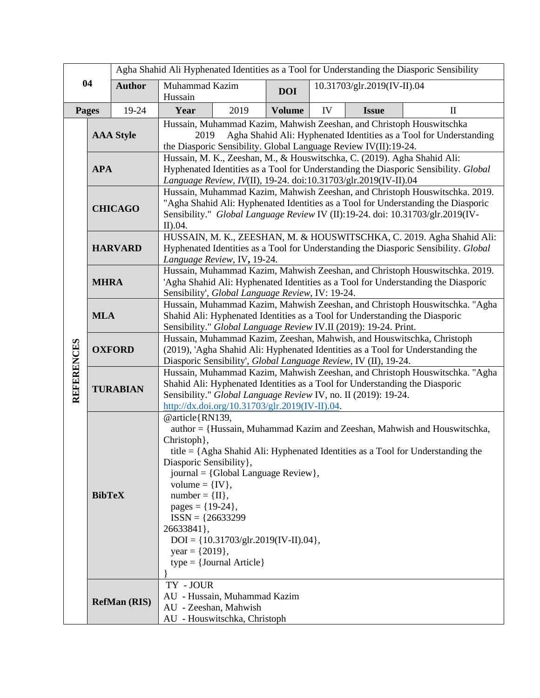|                   |                     |               | Agha Shahid Ali Hyphenated Identities as a Tool for Understanding the Diasporic Sensibility                                                                                                                                                                                                                                                                                                                                                                                     |                                                              |               |                             |              |              |
|-------------------|---------------------|---------------|---------------------------------------------------------------------------------------------------------------------------------------------------------------------------------------------------------------------------------------------------------------------------------------------------------------------------------------------------------------------------------------------------------------------------------------------------------------------------------|--------------------------------------------------------------|---------------|-----------------------------|--------------|--------------|
| 04                |                     | <b>Author</b> | Muhammad Kazim<br>Hussain                                                                                                                                                                                                                                                                                                                                                                                                                                                       |                                                              | <b>DOI</b>    | 10.31703/glr.2019(IV-II).04 |              |              |
| <b>Pages</b>      |                     | 19-24         | Year                                                                                                                                                                                                                                                                                                                                                                                                                                                                            | 2019                                                         | <b>Volume</b> | IV                          | <b>Issue</b> | $\mathbf{I}$ |
|                   | <b>AAA Style</b>    |               | Hussain, Muhammad Kazim, Mahwish Zeeshan, and Christoph Houswitschka<br>Agha Shahid Ali: Hyphenated Identities as a Tool for Understanding<br>2019<br>the Diasporic Sensibility. Global Language Review IV(II):19-24.                                                                                                                                                                                                                                                           |                                                              |               |                             |              |              |
|                   | <b>APA</b>          |               | Hussain, M. K., Zeeshan, M., & Houswitschka, C. (2019). Agha Shahid Ali:<br>Hyphenated Identities as a Tool for Understanding the Diasporic Sensibility. Global<br>Language Review, IV(II), 19-24. doi:10.31703/glr.2019(IV-II).04                                                                                                                                                                                                                                              |                                                              |               |                             |              |              |
|                   | <b>CHICAGO</b>      |               | Hussain, Muhammad Kazim, Mahwish Zeeshan, and Christoph Houswitschka. 2019.<br>"Agha Shahid Ali: Hyphenated Identities as a Tool for Understanding the Diasporic<br>Sensibility." Global Language Review IV (II):19-24. doi: 10.31703/glr.2019(IV-<br>II).04.                                                                                                                                                                                                                   |                                                              |               |                             |              |              |
| <b>REFERENCES</b> | <b>HARVARD</b>      |               | HUSSAIN, M. K., ZEESHAN, M. & HOUSWITSCHKA, C. 2019. Agha Shahid Ali:<br>Hyphenated Identities as a Tool for Understanding the Diasporic Sensibility. Global<br>Language Review, IV, 19-24.                                                                                                                                                                                                                                                                                     |                                                              |               |                             |              |              |
|                   | <b>MHRA</b>         |               | Hussain, Muhammad Kazim, Mahwish Zeeshan, and Christoph Houswitschka. 2019.<br>'Agha Shahid Ali: Hyphenated Identities as a Tool for Understanding the Diasporic<br>Sensibility', Global Language Review, IV: 19-24.                                                                                                                                                                                                                                                            |                                                              |               |                             |              |              |
|                   | <b>MLA</b>          |               | Hussain, Muhammad Kazim, Mahwish Zeeshan, and Christoph Houswitschka. "Agha<br>Shahid Ali: Hyphenated Identities as a Tool for Understanding the Diasporic<br>Sensibility." Global Language Review IV.II (2019): 19-24. Print.                                                                                                                                                                                                                                                  |                                                              |               |                             |              |              |
|                   | <b>OXFORD</b>       |               | Hussain, Muhammad Kazim, Zeeshan, Mahwish, and Houswitschka, Christoph<br>(2019), 'Agha Shahid Ali: Hyphenated Identities as a Tool for Understanding the<br>Diasporic Sensibility', Global Language Review, IV (II), 19-24.                                                                                                                                                                                                                                                    |                                                              |               |                             |              |              |
|                   | <b>TURABIAN</b>     |               | Hussain, Muhammad Kazim, Mahwish Zeeshan, and Christoph Houswitschka. "Agha<br>Shahid Ali: Hyphenated Identities as a Tool for Understanding the Diasporic<br>Sensibility." Global Language Review IV, no. II (2019): 19-24.<br>$\frac{http://dx.doi.org/10.31703/glr.2019(IV-II).04}{http://dx.doi.org/10.31703/glr.2019(IV-II).04}$                                                                                                                                           |                                                              |               |                             |              |              |
|                   | <b>BibTeX</b>       |               | @article{RN139,<br>author = {Hussain, Muhammad Kazim and Zeeshan, Mahwish and Houswitschka,<br>Christoph },<br>title = ${Agha Shahid Ali: Hyphenated Identities as a Tool for Understanding the}$<br>Diasporic Sensibility},<br>$journal = {Global Language Review}$ ,<br>volume = $\{IV\},\$<br>$number = {II},$<br>pages = ${19-24}$ ,<br>$ISSN = {26633299}$<br>26633841},<br>$DOI = \{10.31703/glr.2019(IV-II).04\},\$<br>year = $\{2019\},\$<br>$type = {Journal Article}$ |                                                              |               |                             |              |              |
|                   | <b>RefMan (RIS)</b> |               | TY - JOUR<br>AU - Zeeshan, Mahwish                                                                                                                                                                                                                                                                                                                                                                                                                                              | AU - Hussain, Muhammad Kazim<br>AU - Houswitschka, Christoph |               |                             |              |              |